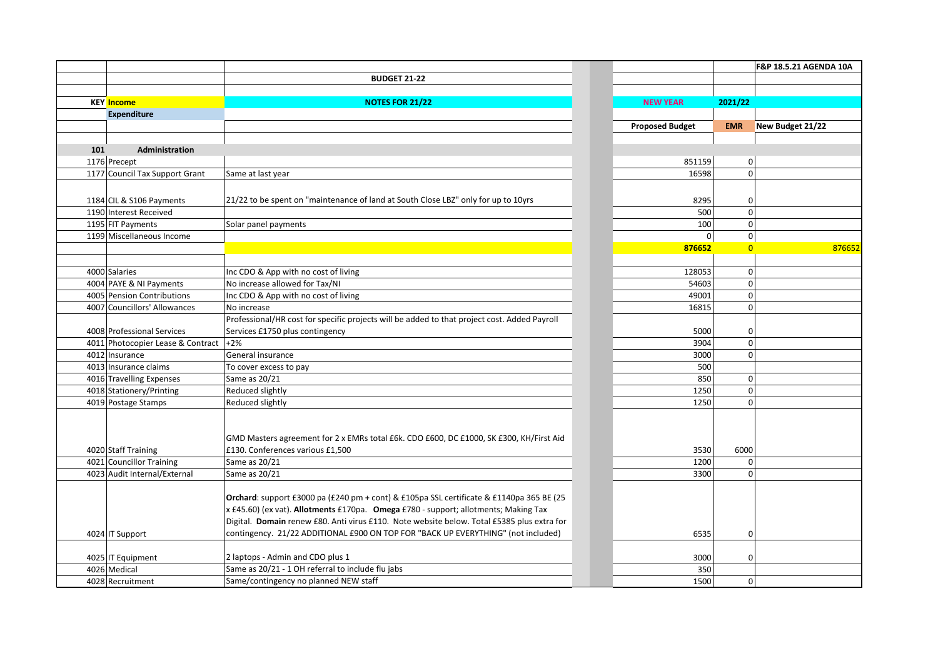|     |                                                       |                                                                                              |                        |             |                | <b>F&amp;P 18.5.21 AGENDA 10A</b> |
|-----|-------------------------------------------------------|----------------------------------------------------------------------------------------------|------------------------|-------------|----------------|-----------------------------------|
|     |                                                       | <b>BUDGET 21-22</b>                                                                          |                        |             |                |                                   |
|     |                                                       |                                                                                              |                        |             |                |                                   |
|     | <b>KEY</b> Income                                     | <b>NOTES FOR 21/22</b>                                                                       | <b>NEW YEAR</b>        |             | 2021/22        |                                   |
|     | <b>Expenditure</b>                                    |                                                                                              |                        |             |                |                                   |
|     |                                                       |                                                                                              | <b>Proposed Budget</b> |             | <b>EMR</b>     | New Budget 21/22                  |
|     |                                                       |                                                                                              |                        |             |                |                                   |
| 101 | Administration                                        |                                                                                              |                        |             |                |                                   |
|     | 1176 Precept                                          |                                                                                              |                        | 851159      | 0              |                                   |
|     | 1177 Council Tax Support Grant                        | Same at last year                                                                            |                        | 16598       | 0              |                                   |
|     |                                                       |                                                                                              |                        |             |                |                                   |
|     | 1184 CIL & S106 Payments                              | 21/22 to be spent on "maintenance of land at South Close LBZ" only for up to 10yrs           |                        | 8295        | 0              |                                   |
|     | 1190 Interest Received                                |                                                                                              |                        | 500         | $\mathbf{0}$   |                                   |
|     | 1195 FIT Payments                                     | Solar panel payments                                                                         |                        | 100         | $\mathbf{0}$   |                                   |
|     | 1199 Miscellaneous Income                             |                                                                                              |                        | $\mathbf 0$ | 0              |                                   |
|     |                                                       |                                                                                              |                        | 876652      | $\overline{0}$ | 876652                            |
|     |                                                       |                                                                                              |                        |             |                |                                   |
|     | 4000 Salaries                                         | Inc CDO & App with no cost of living                                                         |                        | 128053      | 0              |                                   |
|     |                                                       | No increase allowed for Tax/NI                                                               |                        | 54603       | $\mathbf{0}$   |                                   |
|     | 4004 PAYE & NI Payments<br>4005 Pension Contributions |                                                                                              |                        | 49001       |                |                                   |
|     |                                                       | Inc CDO & App with no cost of living                                                         |                        |             | $\Omega$       |                                   |
|     | 4007 Councillors' Allowances                          | No increase                                                                                  |                        | 16815       | $\Omega$       |                                   |
|     |                                                       | Professional/HR cost for specific projects will be added to that project cost. Added Payroll |                        |             |                |                                   |
|     | 4008 Professional Services                            | Services £1750 plus contingency                                                              |                        | 5000        | 0              |                                   |
|     | 4011 Photocopier Lease & Contract                     | $+2\%$                                                                                       |                        | 3904        | $\mathbf 0$    |                                   |
|     | 4012 Insurance                                        | General insurance                                                                            |                        | 3000        | $\Omega$       |                                   |
|     | 4013 Insurance claims                                 | To cover excess to pay                                                                       |                        | 500         |                |                                   |
|     | 4016 Travelling Expenses                              | Same as 20/21                                                                                |                        | 850         | 0              |                                   |
|     | 4018 Stationery/Printing                              | Reduced slightly                                                                             |                        | 1250        | 0              |                                   |
|     | 4019 Postage Stamps                                   | Reduced slightly                                                                             |                        | 1250        | $\Omega$       |                                   |
|     |                                                       |                                                                                              |                        |             |                |                                   |
|     |                                                       |                                                                                              |                        |             |                |                                   |
|     |                                                       | GMD Masters agreement for 2 x EMRs total £6k. CDO £600, DC £1000, SK £300, KH/First Aid      |                        |             |                |                                   |
|     | 4020 Staff Training                                   | £130. Conferences various £1,500                                                             |                        | 3530        | 6000           |                                   |
|     | 4021 Councillor Training                              | Same as 20/21                                                                                |                        | 1200        | 0              |                                   |
|     | 4023 Audit Internal/External                          | Same as 20/21                                                                                |                        | 3300        | $\Omega$       |                                   |
|     |                                                       |                                                                                              |                        |             |                |                                   |
|     |                                                       | Orchard: support £3000 pa (£240 pm + cont) & £105pa SSL certificate & £1140pa 365 BE (25     |                        |             |                |                                   |
|     |                                                       | x £45.60) (ex vat). Allotments £170pa. Omega £780 - support; allotments; Making Tax          |                        |             |                |                                   |
|     |                                                       | Digital. Domain renew £80. Anti virus £110. Note website below. Total £5385 plus extra for   |                        |             |                |                                   |
|     | 4024 IT Support                                       | contingency. 21/22 ADDITIONAL £900 ON TOP FOR "BACK UP EVERYTHING" (not included)            |                        | 6535        | 0              |                                   |
|     |                                                       |                                                                                              |                        |             |                |                                   |
|     | 4025 IT Equipment                                     | 2 laptops - Admin and CDO plus 1                                                             |                        | 3000        | 0              |                                   |
|     | 4026 Medical                                          | Same as 20/21 - 1 OH referral to include flu jabs                                            |                        | 350         |                |                                   |
|     | 4028 Recruitment                                      | Same/contingency no planned NEW staff                                                        |                        | 1500        | 0              |                                   |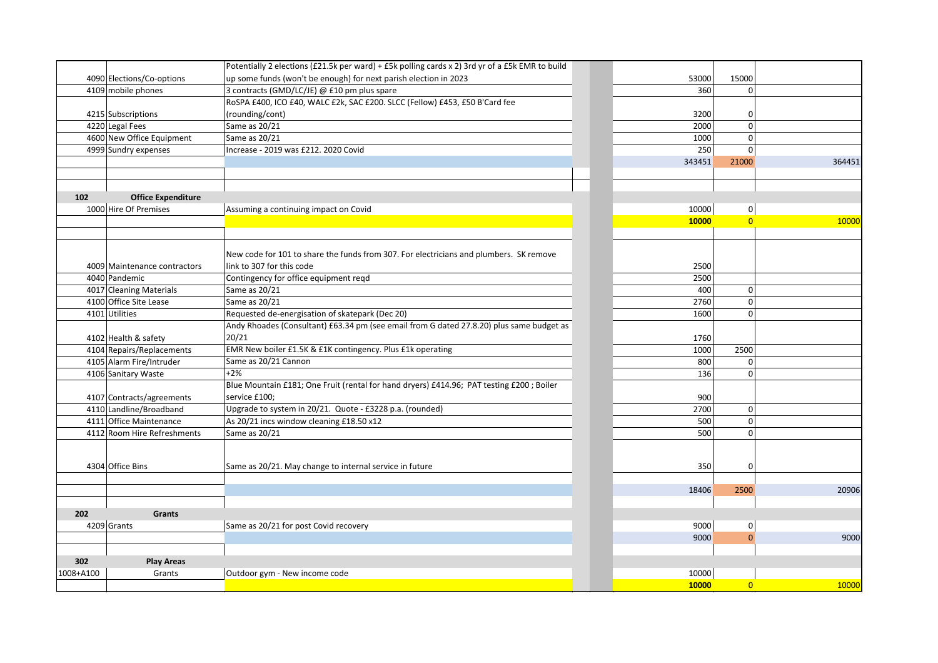|           |                              | Potentially 2 elections (£21.5k per ward) + £5k polling cards x 2) 3rd yr of a £5k EMR to build |              |                |
|-----------|------------------------------|-------------------------------------------------------------------------------------------------|--------------|----------------|
|           | 4090 Elections/Co-options    | up some funds (won't be enough) for next parish election in 2023                                | 53000        | 15000          |
|           | 4109 mobile phones           | 3 contracts (GMD/LC/JE) @ £10 pm plus spare                                                     | 360          |                |
|           |                              | RoSPA £400, ICO £40, WALC £2k, SAC £200. SLCC (Fellow) £453, £50 B'Card fee                     |              |                |
|           | 4215 Subscriptions           | (rounding/cont)                                                                                 | 3200         | 0              |
|           | 4220 Legal Fees              | Same as 20/21                                                                                   | 2000         | $\mathbf 0$    |
|           | 4600 New Office Equipment    | Same as 20/21                                                                                   | 1000         | $\mathbf 0$    |
|           | 4999 Sundry expenses         | Increase - 2019 was £212. 2020 Covid                                                            | 250          | $\mathbf 0$    |
|           |                              |                                                                                                 | 343451       | 21000          |
|           |                              |                                                                                                 |              |                |
| 102       | <b>Office Expenditure</b>    |                                                                                                 |              |                |
|           | 1000 Hire Of Premises        | Assuming a continuing impact on Covid                                                           | 10000        | 0              |
|           |                              |                                                                                                 | <b>10000</b> |                |
|           |                              | New code for 101 to share the funds from 307. For electricians and plumbers. SK remove          |              |                |
|           | 4009 Maintenance contractors | link to 307 for this code                                                                       | 2500         |                |
|           | 4040 Pandemic                | Contingency for office equipment reqd                                                           | 2500         |                |
|           | 4017 Cleaning Materials      | Same as 20/21                                                                                   | 400          | 0              |
|           | 4100 Office Site Lease       | Same as 20/21                                                                                   | 2760         | $\mathbf 0$    |
|           | 4101 Utilities               | Requested de-energisation of skatepark (Dec 20)                                                 | 1600         | $\mathbf 0$    |
|           |                              | Andy Rhoades (Consultant) £63.34 pm (see email from G dated 27.8.20) plus same budget as        |              |                |
|           | 4102 Health & safety         | 20/21                                                                                           | 1760         |                |
|           | 4104 Repairs/Replacements    | EMR New boiler £1.5K & £1K contingency. Plus £1k operating                                      | 1000         | 2500           |
|           | 4105 Alarm Fire/Intruder     | Same as 20/21 Cannon                                                                            | 800          | 0              |
|           | 4106 Sanitary Waste          | $+2%$                                                                                           | 136          | $\mathbf 0$    |
|           |                              | Blue Mountain £181; One Fruit (rental for hand dryers) £414.96; PAT testing £200; Boiler        |              |                |
|           | 4107 Contracts/agreements    | service £100;                                                                                   | 900          |                |
|           | 4110 Landline/Broadband      | Upgrade to system in 20/21. Quote - £3228 p.a. (rounded)                                        | 2700         | 0              |
|           | 4111 Office Maintenance      | As 20/21 incs window cleaning £18.50 x12                                                        | 500          | 0              |
|           | 4112 Room Hire Refreshments  | Same as 20/21                                                                                   | 500          | 0              |
|           |                              |                                                                                                 |              |                |
|           | 4304 Office Bins             | Same as 20/21. May change to internal service in future                                         | 350          | 0              |
|           |                              |                                                                                                 |              |                |
|           |                              |                                                                                                 | 18406        | 2500           |
| 202       | <b>Grants</b>                |                                                                                                 |              |                |
|           | 4209 Grants                  | Same as 20/21 for post Covid recovery                                                           | 9000         | 0              |
|           |                              |                                                                                                 | 9000         | $\mathbf{0}$   |
| 302       | <b>Play Areas</b>            |                                                                                                 |              |                |
| 1008+A100 | Grants                       | Outdoor gym - New income code                                                                   | 10000        |                |
|           |                              |                                                                                                 | 10000        | $\overline{0}$ |

| 53000<br>360 | 15000<br>0     |        |
|--------------|----------------|--------|
|              |                |        |
| 3200         | 0              |        |
| 2000         | 0              |        |
| 1000         | 0              |        |
| 250          | 0              |        |
| 343451       | 21000          | 364451 |
|              |                |        |
|              |                |        |
| 10000        | 0              |        |
| 10000        | $\overline{0}$ | 10000  |
|              |                |        |
|              |                |        |
|              |                |        |
| 2500         |                |        |
| 2500         |                |        |
| 400          | 0              |        |
| 2760         | 0              |        |
| 1600         | 0              |        |
|              |                |        |
| 1760         |                |        |
| 1000         | 2500           |        |
| 800          | 0              |        |
| 136          | 0              |        |
|              |                |        |
| 900          |                |        |
| 2700         | 0              |        |
| 500          | 0              |        |
| 500          | 0              |        |
|              |                |        |
| 350          | 0              |        |
|              |                |        |
| 18406        | 2500           | 20906  |
|              |                |        |
|              |                |        |
| 9000         | 0              |        |
| 9000         | $\overline{0}$ | 9000   |
|              |                |        |
|              |                |        |
| 10000        |                |        |
| <b>10000</b> | $\overline{0}$ | 10000  |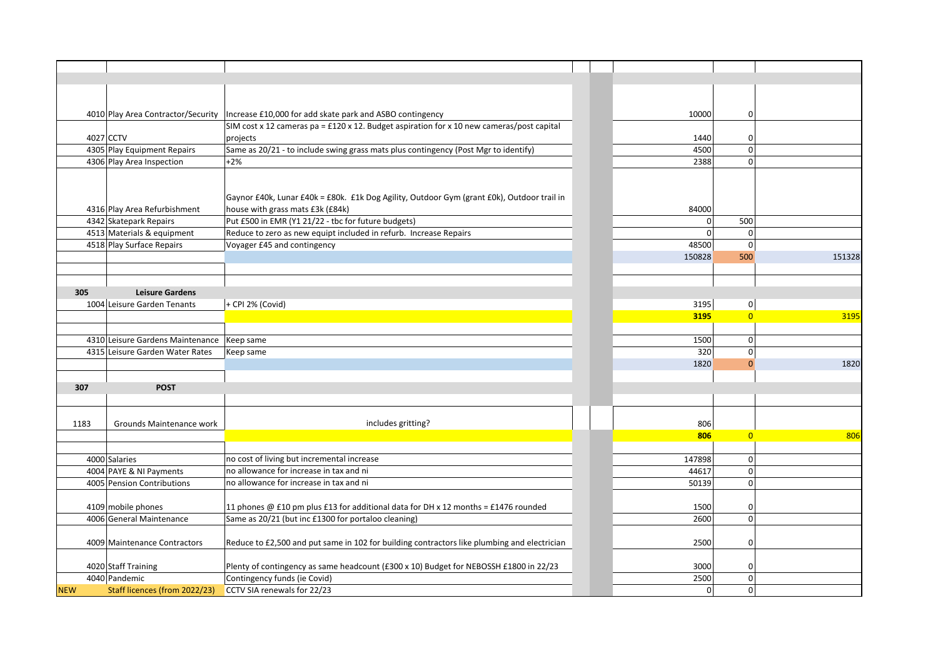|            | 4010 Play Area Contractor/Security | Increase £10,000 for add skate park and ASBO contingency                                    | 10000        | 0 I            |        |
|------------|------------------------------------|---------------------------------------------------------------------------------------------|--------------|----------------|--------|
|            |                                    | SIM cost x 12 cameras pa = £120 x 12. Budget aspiration for x 10 new cameras/post capital   |              |                |        |
|            | 4027 CCTV                          | projects                                                                                    | 1440         | 0              |        |
|            | 4305 Play Equipment Repairs        | Same as 20/21 - to include swing grass mats plus contingency (Post Mgr to identify)         | 4500         | 0              |        |
|            | 4306 Play Area Inspection          | $+2%$                                                                                       | 2388         | 0              |        |
|            |                                    |                                                                                             |              |                |        |
|            |                                    |                                                                                             |              |                |        |
|            |                                    | Gaynor £40k, Lunar £40k = £80k. £1k Dog Agility, Outdoor Gym (grant £0k), Outdoor trail in  |              |                |        |
|            | 4316 Play Area Refurbishment       | house with grass mats £3k (£84k)                                                            | 84000        |                |        |
|            | 4342 Skatepark Repairs             | Put £500 in EMR (Y1 21/22 - tbc for future budgets)                                         | 0            | 500            |        |
|            | 4513 Materials & equipment         | Reduce to zero as new equipt included in refurb. Increase Repairs                           | $\mathbf{0}$ | 0              |        |
|            | 4518 Play Surface Repairs          | Voyager £45 and contingency                                                                 | 48500        | 0              |        |
|            |                                    |                                                                                             | 150828       | 500            | 151328 |
|            |                                    |                                                                                             |              |                |        |
|            |                                    |                                                                                             |              |                |        |
| 305        | <b>Leisure Gardens</b>             |                                                                                             |              |                |        |
|            | 1004 Leisure Garden Tenants        | + CPI 2% (Covid)                                                                            | 3195         | 0              |        |
|            |                                    |                                                                                             | 3195         | $\overline{0}$ | 3195   |
|            |                                    |                                                                                             |              |                |        |
|            | 4310 Leisure Gardens Maintenance   | Keep same                                                                                   | 1500         | 0              |        |
|            | 4315 Leisure Garden Water Rates    | Keep same                                                                                   | 320          | $\mathbf 0$    |        |
|            |                                    |                                                                                             | 1820         | $\Omega$       | 1820   |
|            |                                    |                                                                                             |              |                |        |
| 307        | <b>POST</b>                        |                                                                                             |              |                |        |
|            |                                    |                                                                                             |              |                |        |
|            |                                    |                                                                                             |              |                |        |
| 1183       | Grounds Maintenance work           | includes gritting?                                                                          | 806          |                |        |
|            |                                    |                                                                                             | 806          | $\overline{0}$ | 806    |
|            |                                    |                                                                                             |              |                |        |
|            | 4000 Salaries                      | no cost of living but incremental increase                                                  | 147898       | 0              |        |
|            | 4004 PAYE & NI Payments            | no allowance for increase in tax and ni                                                     | 44617        | 0              |        |
|            | 4005 Pension Contributions         | no allowance for increase in tax and ni                                                     | 50139        | 0              |        |
|            |                                    |                                                                                             |              |                |        |
|            | 4109 mobile phones                 | 11 phones @ £10 pm plus £13 for additional data for DH x 12 months = £1476 rounded          | 1500         |                |        |
|            | 4006 General Maintenance           | Same as 20/21 (but inc £1300 for portaloo cleaning)                                         | 2600         | 0 <br> 0       |        |
|            |                                    |                                                                                             |              |                |        |
|            |                                    |                                                                                             |              |                |        |
|            | 4009 Maintenance Contractors       | Reduce to £2,500 and put same in 102 for building contractors like plumbing and electrician | 2500         | 0              |        |
|            |                                    |                                                                                             |              |                |        |
|            | 4020 Staff Training                | Plenty of contingency as same headcount (£300 x 10) Budget for NEBOSSH £1800 in 22/23       | 3000         | 0              |        |
|            | 4040 Pandemic                      | Contingency funds (ie Covid)                                                                | 2500         | 0              |        |
| <b>NEW</b> | Staff licences (from 2022/23)      | CCTV SIA renewals for 22/23                                                                 | 0            | 0              |        |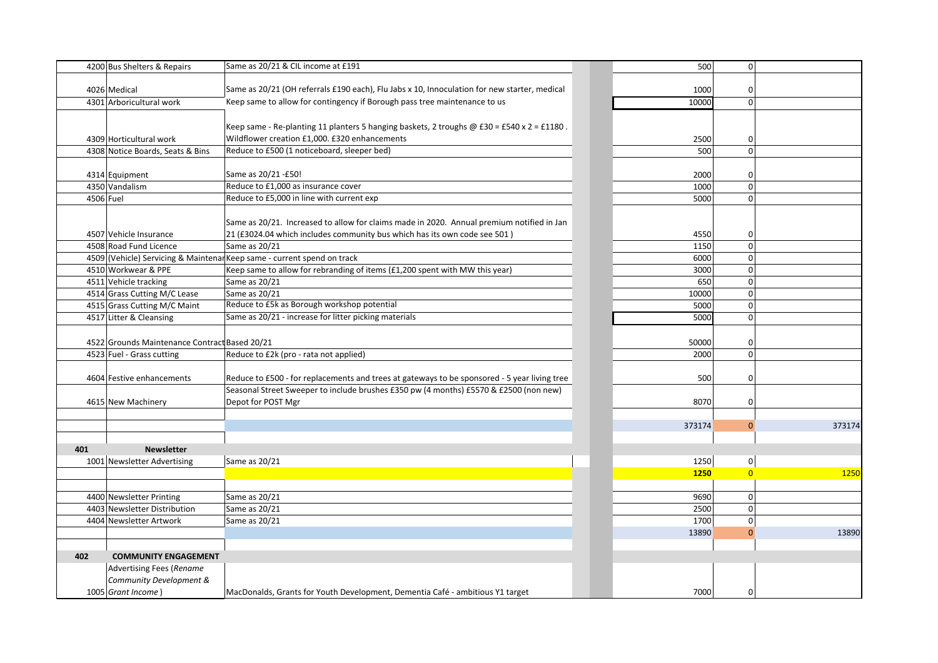|           | 4200 Bus Shelters & Repairs                   | Same as 20/21 & CIL income at £191                                                                | 500         | $\mathbf 0$    |
|-----------|-----------------------------------------------|---------------------------------------------------------------------------------------------------|-------------|----------------|
|           | 4026 Medical                                  | Same as 20/21 (OH referrals £190 each), Flu Jabs x 10, Innoculation for new starter, medical      | 1000        | 0              |
|           | 4301 Arboricultural work                      | Keep same to allow for contingency if Borough pass tree maintenance to us                         | 10000       | 0              |
|           |                                               |                                                                                                   |             |                |
|           |                                               | Keep same - Re-planting 11 planters 5 hanging baskets, 2 troughs $\omega$ £30 = £540 x 2 = £1180. |             |                |
|           | 4309 Horticultural work                       | Wildflower creation £1,000. £320 enhancements                                                     | 2500        | 0              |
|           | 4308 Notice Boards, Seats & Bins              | Reduce to £500 (1 noticeboard, sleeper bed)                                                       | 500         | 0              |
|           |                                               |                                                                                                   |             |                |
|           | 4314 Equipment                                | Same as 20/21 - £50!                                                                              | 2000        | 0              |
|           | 4350 Vandalism                                | Reduce to £1,000 as insurance cover                                                               | 1000        | $\mathbf 0$    |
| 4506 Fuel |                                               | Reduce to £5,000 in line with current exp                                                         | 5000        | $\mathbf 0$    |
|           |                                               |                                                                                                   |             |                |
|           |                                               | Same as 20/21. Increased to allow for claims made in 2020. Annual premium notified in Jan         |             |                |
|           | 4507 Vehicle Insurance                        | 21 (£3024.04 which includes community bus which has its own code see 501)                         | 4550        | 0              |
|           | 4508 Road Fund Licence                        | Same as 20/21                                                                                     | 1150        | 0              |
|           |                                               | 4509 (Vehicle) Servicing & Maintenar Keep same - current spend on track                           | 6000        | 0              |
|           | 4510 Workwear & PPE                           | Keep same to allow for rebranding of items (£1,200 spent with MW this year)                       | 3000        | $\mathbf 0$    |
|           | 4511 Vehicle tracking                         | Same as 20/21                                                                                     | 650         | 0              |
|           | 4514 Grass Cutting M/C Lease                  | Same as 20/21                                                                                     | 10000       | 0              |
|           | 4515 Grass Cutting M/C Maint                  | Reduce to £5k as Borough workshop potential                                                       | 5000        | 0              |
|           | 4517 Litter & Cleansing                       | Same as 20/21 - increase for litter picking materials                                             | 5000        | $\mathbf 0$    |
|           |                                               |                                                                                                   |             |                |
|           | 4522 Grounds Maintenance Contract Based 20/21 |                                                                                                   | 50000       | 0              |
|           | 4523 Fuel - Grass cutting                     | Reduce to £2k (pro - rata not applied)                                                            | 2000        | $\mathbf 0$    |
|           |                                               |                                                                                                   |             |                |
|           | 4604 Festive enhancements                     | Reduce to £500 - for replacements and trees at gateways to be sponsored - 5 year living tree      | 500         | 0              |
|           |                                               | Seasonal Street Sweeper to include brushes £350 pw (4 months) £5570 & £2500 (non new)             |             |                |
|           | 4615 New Machinery                            | Depot for POST Mgr                                                                                | 8070        | 0              |
|           |                                               |                                                                                                   | 373174      | $\Omega$       |
|           |                                               |                                                                                                   |             |                |
| 401       | <b>Newsletter</b>                             |                                                                                                   |             |                |
|           | 1001 Newsletter Advertising                   | Same as 20/21                                                                                     | 1250        | 0              |
|           |                                               |                                                                                                   | <b>1250</b> | $\overline{0}$ |
|           |                                               |                                                                                                   |             |                |
|           | 4400 Newsletter Printing                      | Same as 20/21                                                                                     | 9690        | $\mathbf 0$    |
|           | 4403 Newsletter Distribution                  | Same as 20/21                                                                                     | 2500        | 0              |
|           | 4404 Newsletter Artwork                       | Same as 20/21                                                                                     | 1700        | 0              |
|           |                                               |                                                                                                   | 13890       | $\mathbf 0$    |
|           |                                               |                                                                                                   |             |                |
| 402       | <b>COMMUNITY ENGAGEMENT</b>                   |                                                                                                   |             |                |
|           | <b>Advertising Fees (Rename</b>               |                                                                                                   |             |                |
|           | Community Development &                       |                                                                                                   |             |                |
|           | 1005 Grant Income)                            | MacDonalds, Grants for Youth Development, Dementia Café - ambitious Y1 target                     | 7000        |                |

| 500          | 0              |        |
|--------------|----------------|--------|
|              |                |        |
| 1000         | 0              |        |
| 10000        | 0              |        |
|              |                |        |
|              |                |        |
| 2500         | 0              |        |
| 500          | 0              |        |
|              |                |        |
| 2000         | 0              |        |
| 1000         | 0              |        |
| 5000         | 0              |        |
|              |                |        |
|              |                |        |
| 4550         | 0              |        |
| 1150<br>6000 | 0<br>0         |        |
| 3000         | 0              |        |
| 650          | 0              |        |
| 10000        | 0              |        |
| 5000         | 0              |        |
| 5000         | 0              |        |
|              |                |        |
| 50000        | 0              |        |
| 2000         | 0              |        |
|              |                |        |
| 500          | 0              |        |
|              |                |        |
| 8070         | 0              |        |
|              |                |        |
| 373174       | 0              | 373174 |
|              |                |        |
|              |                |        |
| 1250         | 0              |        |
| 1250         | $\overline{0}$ | 1250   |
|              |                |        |
| 9690         | 0              |        |
| 2500         | 0              |        |
| 1700         | 0              |        |
| 13890        | $\overline{0}$ | 13890  |
|              |                |        |
|              |                |        |
|              |                |        |
|              |                |        |
| 7000         | 0              |        |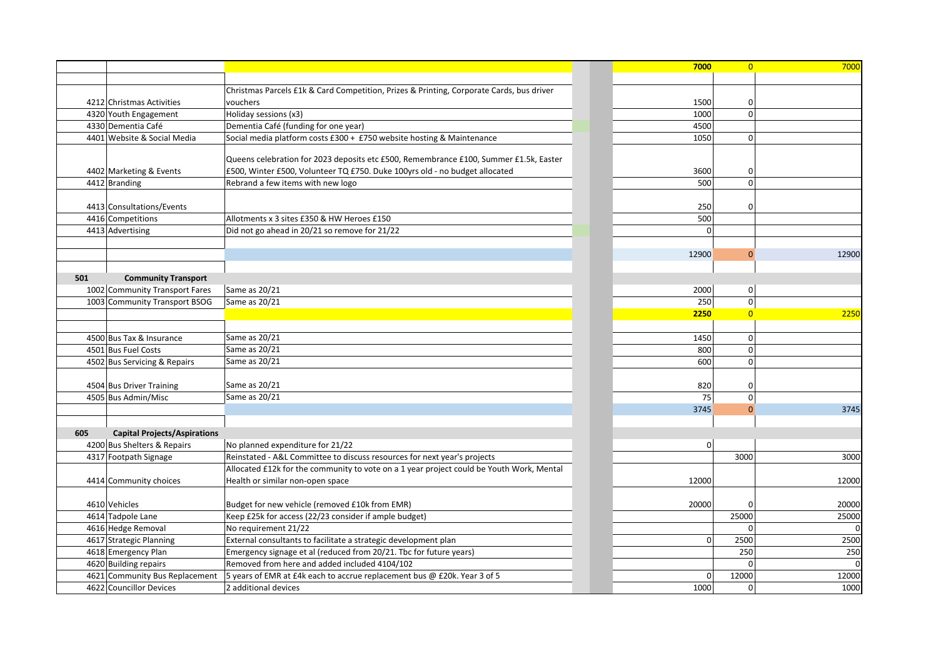| 7000        | $\overline{0}$ | 7000  |
|-------------|----------------|-------|
|             |                |       |
|             |                |       |
| 1500        | 0              |       |
| 1000        | 0              |       |
| 4500        |                |       |
| 1050        | 0              |       |
|             |                |       |
|             |                |       |
| 3600        | 0              |       |
| 500         | 0              |       |
|             |                |       |
| 250         | 0              |       |
| 500         |                |       |
| 0           |                |       |
|             |                |       |
| 12900       | $\overline{0}$ | 12900 |
|             |                |       |
|             |                |       |
| 2000        | 0              |       |
| 250         | 0              |       |
| 2250        | $\overline{0}$ | 2250  |
|             |                |       |
| 1450<br>800 | 0<br>0         |       |
| 600         | 0              |       |
|             |                |       |
| 820         | 0              |       |
| 75          | 0              |       |
| 3745        | $\mathbf{0}$   | 3745  |
|             |                |       |
|             |                |       |
| 0           |                |       |
|             | 3000           | 3000  |
|             |                |       |
| 12000       |                | 12000 |
|             |                |       |
| 20000       | 0              | 20000 |
|             | 25000          | 25000 |
|             | 0              |       |
| 0           | 2500           | 2500  |
|             | 250            | 250   |
|             | 0              | 0     |
| 0           | 12000          | 12000 |
| 1000        | 0              | 1000  |

|                                            |                                                                                          | 7000           | $\overline{0}$ | 7000        |
|--------------------------------------------|------------------------------------------------------------------------------------------|----------------|----------------|-------------|
|                                            |                                                                                          |                |                |             |
|                                            | Christmas Parcels £1k & Card Competition, Prizes & Printing, Corporate Cards, bus driver |                |                |             |
| 4212 Christmas Activities                  | vouchers                                                                                 | 1500           | 0              |             |
| 4320 Youth Engagement                      | Holiday sessions (x3)                                                                    | 1000           | $\mathbf 0$    |             |
| 4330 Dementia Café                         | Dementia Café (funding for one year)                                                     | 4500           |                |             |
| 4401 Website & Social Media                | Social media platform costs £300 + £750 website hosting & Maintenance                    | 1050           | $\mathbf 0$    |             |
|                                            | Queens celebration for 2023 deposits etc £500, Remembrance £100, Summer £1.5k, Easter    |                |                |             |
| 4402 Marketing & Events                    | £500, Winter £500, Volunteer TQ £750. Duke 100yrs old - no budget allocated              | 3600           | 0              |             |
| 4412 Branding                              | Rebrand a few items with new logo                                                        | 500            | $\mathbf 0$    |             |
|                                            |                                                                                          |                |                |             |
| 4413 Consultations/Events                  |                                                                                          | 250            | 0              |             |
| 4416 Competitions                          | Allotments x 3 sites £350 & HW Heroes £150                                               | 500            |                |             |
| 4413 Advertising                           | Did not go ahead in 20/21 so remove for 21/22                                            |                |                |             |
|                                            |                                                                                          |                |                |             |
|                                            |                                                                                          | 12900          | $\Omega$       | 12900       |
|                                            |                                                                                          |                |                |             |
| 501<br><b>Community Transport</b>          |                                                                                          |                |                |             |
| 1002 Community Transport Fares             | Same as 20/21                                                                            | 2000           | $\mathbf 0$    |             |
| 1003 Community Transport BSOG              | Same as 20/21                                                                            | 250            | $\pmb{0}$      |             |
|                                            |                                                                                          | 2250           | $\overline{0}$ | 2250        |
|                                            |                                                                                          |                |                |             |
| 4500 Bus Tax & Insurance                   | Same as 20/21                                                                            | 1450           | $\mathbf 0$    |             |
| 4501 Bus Fuel Costs                        | Same as 20/21                                                                            | 800            | $\mathbf{0}$   |             |
| 4502 Bus Servicing & Repairs               | Same as 20/21                                                                            | 600            | $\mathbf 0$    |             |
|                                            |                                                                                          |                |                |             |
| 4504 Bus Driver Training                   | Same as 20/21                                                                            | 820            | 0              |             |
| 4505 Bus Admin/Misc                        | Same as 20/21                                                                            | 75             | $\pmb{0}$      |             |
|                                            |                                                                                          | 3745           | $\Omega$       | 3745        |
| 605<br><b>Capital Projects/Aspirations</b> |                                                                                          |                |                |             |
| 4200 Bus Shelters & Repairs                | No planned expenditure for 21/22                                                         |                | $\Omega$       |             |
| 4317 Footpath Signage                      | Reinstated - A&L Committee to discuss resources for next year's projects                 |                | 3000           | 3000        |
|                                            | Allocated £12k for the community to vote on a 1 year project could be Youth Work, Mental |                |                |             |
| 4414 Community choices                     | Health or similar non-open space                                                         | 12000          |                | 12000       |
|                                            |                                                                                          |                |                |             |
| 4610 Vehicles                              | Budget for new vehicle (removed £10k from EMR)                                           | 20000          | $\Omega$       | 20000       |
| 4614 Tadpole Lane                          | Keep £25k for access (22/23 consider if ample budget)                                    |                | 25000          | 25000       |
| 4616 Hedge Removal                         | No requirement 21/22                                                                     |                |                |             |
| 4617 Strategic Planning                    | External consultants to facilitate a strategic development plan                          | $\overline{0}$ | 2500           | 2500        |
| 4618 Emergency Plan                        | Emergency signage et al (reduced from 20/21. Tbc for future years)                       |                | 250            | 250         |
| 4620 Building repairs                      | Removed from here and added included 4104/102                                            |                | $\Omega$       | $\mathbf 0$ |
| 4621 Community Bus Replacement             | 5 years of EMR at £4k each to accrue replacement bus @ £20k. Year 3 of 5                 | $\Omega$       | 12000          | 12000       |
| 4622 Councillor Devices                    | 2 additional devices                                                                     | 1000           | $\mathbf 0$    | 1000        |